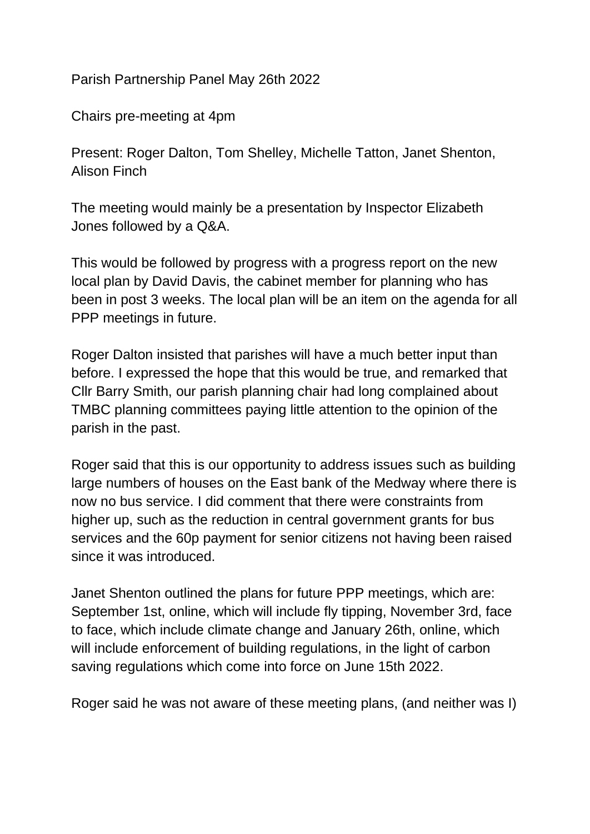Parish Partnership Panel May 26th 2022

Chairs pre-meeting at 4pm

Present: Roger Dalton, Tom Shelley, Michelle Tatton, Janet Shenton, Alison Finch

The meeting would mainly be a presentation by Inspector Elizabeth Jones followed by a Q&A.

This would be followed by progress with a progress report on the new local plan by David Davis, the cabinet member for planning who has been in post 3 weeks. The local plan will be an item on the agenda for all PPP meetings in future.

Roger Dalton insisted that parishes will have a much better input than before. I expressed the hope that this would be true, and remarked that Cllr Barry Smith, our parish planning chair had long complained about TMBC planning committees paying little attention to the opinion of the parish in the past.

Roger said that this is our opportunity to address issues such as building large numbers of houses on the East bank of the Medway where there is now no bus service. I did comment that there were constraints from higher up, such as the reduction in central government grants for bus services and the 60p payment for senior citizens not having been raised since it was introduced.

Janet Shenton outlined the plans for future PPP meetings, which are: September 1st, online, which will include fly tipping, November 3rd, face to face, which include climate change and January 26th, online, which will include enforcement of building regulations, in the light of carbon saving regulations which come into force on June 15th 2022.

Roger said he was not aware of these meeting plans, (and neither was I)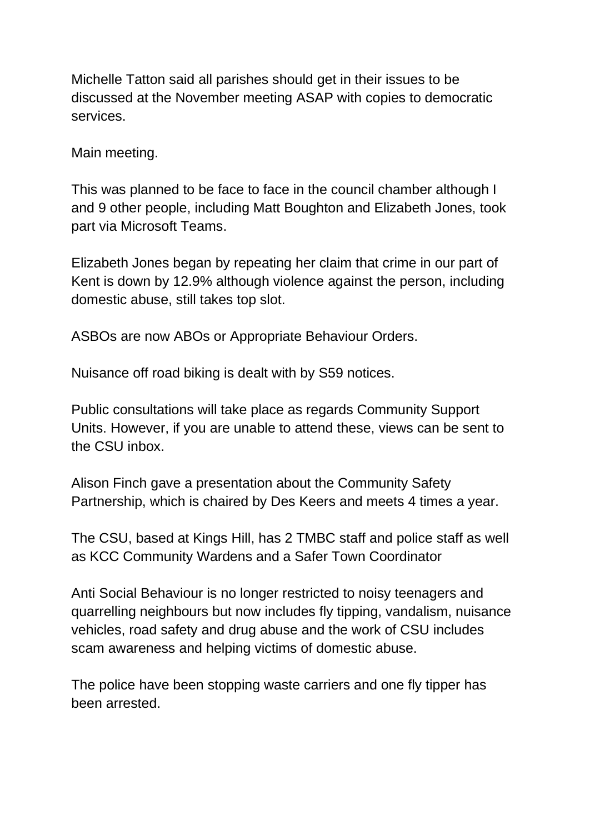Michelle Tatton said all parishes should get in their issues to be discussed at the November meeting ASAP with copies to democratic services.

Main meeting.

This was planned to be face to face in the council chamber although I and 9 other people, including Matt Boughton and Elizabeth Jones, took part via Microsoft Teams.

Elizabeth Jones began by repeating her claim that crime in our part of Kent is down by 12.9% although violence against the person, including domestic abuse, still takes top slot.

ASBOs are now ABOs or Appropriate Behaviour Orders.

Nuisance off road biking is dealt with by S59 notices.

Public consultations will take place as regards Community Support Units. However, if you are unable to attend these, views can be sent to the CSU inbox.

Alison Finch gave a presentation about the Community Safety Partnership, which is chaired by Des Keers and meets 4 times a year.

The CSU, based at Kings Hill, has 2 TMBC staff and police staff as well as KCC Community Wardens and a Safer Town Coordinator

Anti Social Behaviour is no longer restricted to noisy teenagers and quarrelling neighbours but now includes fly tipping, vandalism, nuisance vehicles, road safety and drug abuse and the work of CSU includes scam awareness and helping victims of domestic abuse.

The police have been stopping waste carriers and one fly tipper has been arrested.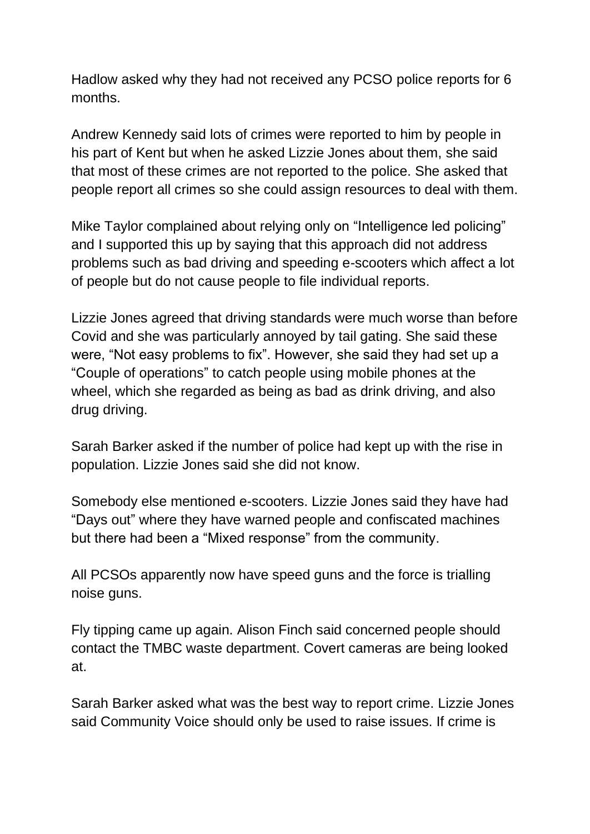Hadlow asked why they had not received any PCSO police reports for 6 months.

Andrew Kennedy said lots of crimes were reported to him by people in his part of Kent but when he asked Lizzie Jones about them, she said that most of these crimes are not reported to the police. She asked that people report all crimes so she could assign resources to deal with them.

Mike Taylor complained about relying only on "Intelligence led policing" and I supported this up by saying that this approach did not address problems such as bad driving and speeding e-scooters which affect a lot of people but do not cause people to file individual reports.

Lizzie Jones agreed that driving standards were much worse than before Covid and she was particularly annoyed by tail gating. She said these were, "Not easy problems to fix". However, she said they had set up a "Couple of operations" to catch people using mobile phones at the wheel, which she regarded as being as bad as drink driving, and also drug driving.

Sarah Barker asked if the number of police had kept up with the rise in population. Lizzie Jones said she did not know.

Somebody else mentioned e-scooters. Lizzie Jones said they have had "Days out" where they have warned people and confiscated machines but there had been a "Mixed response" from the community.

All PCSOs apparently now have speed guns and the force is trialling noise guns.

Fly tipping came up again. Alison Finch said concerned people should contact the TMBC waste department. Covert cameras are being looked at.

Sarah Barker asked what was the best way to report crime. Lizzie Jones said Community Voice should only be used to raise issues. If crime is